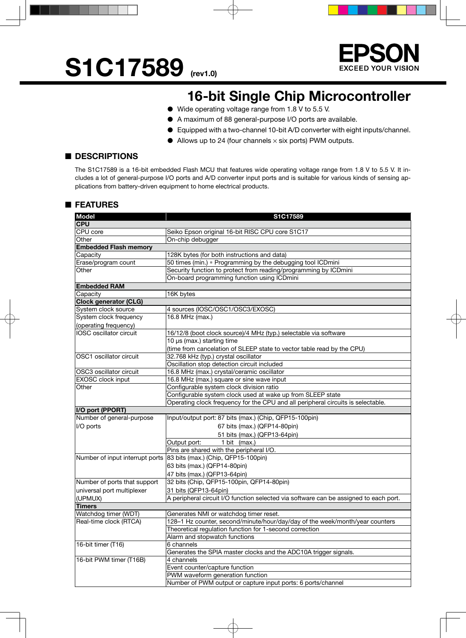



### **16-bit Single Chip Microcontroller**

- Wide operating voltage range from 1.8 V to 5.5 V.
- A maximum of 88 general-purpose I/O ports are available.
- Equipped with a two-channel 10-bit A/D converter with eight inputs/channel.
- $\bullet$  Allows up to 24 (four channels  $\times$  six ports) PWM outputs.

#### ■ **DESCRIPTIONS**

The S1C17589 is a 16-bit embedded Flash MCU that features wide operating voltage range from 1.8 V to 5.5 V. It includes a lot of general-purpose I/O ports and A/D converter input ports and is suitable for various kinds of sensing applications from battery-driven equipment to home electrical products.

### ■ **FEATURES**

| <b>Model</b>                    | S1C17589                                                                              |  |  |  |  |  |
|---------------------------------|---------------------------------------------------------------------------------------|--|--|--|--|--|
| <b>CPU</b>                      |                                                                                       |  |  |  |  |  |
| CPU core                        | Seiko Epson original 16-bit RISC CPU core S1C17                                       |  |  |  |  |  |
| Other                           | On-chip debugger                                                                      |  |  |  |  |  |
| <b>Embedded Flash memory</b>    |                                                                                       |  |  |  |  |  |
| Capacity                        | 128K bytes (for both instructions and data)                                           |  |  |  |  |  |
| Erase/program count             | 50 times (min.) * Programming by the debugging tool ICDmini                           |  |  |  |  |  |
| Other                           | Security function to protect from reading/programming by ICDmini                      |  |  |  |  |  |
|                                 | On-board programming function using ICDmini                                           |  |  |  |  |  |
| <b>Embedded RAM</b>             |                                                                                       |  |  |  |  |  |
| Capacity                        | 16K bytes                                                                             |  |  |  |  |  |
| <b>Clock generator (CLG)</b>    |                                                                                       |  |  |  |  |  |
| System clock source             | 4 sources (IOSC/OSC1/OSC3/EXOSC)                                                      |  |  |  |  |  |
| System clock frequency          | 16.8 MHz (max.)                                                                       |  |  |  |  |  |
| (operating frequency)           |                                                                                       |  |  |  |  |  |
| IOSC oscillator circuit         | 16/12/8 (boot clock source)/4 MHz (typ.) selectable via software                      |  |  |  |  |  |
|                                 | 10 µs (max.) starting time                                                            |  |  |  |  |  |
|                                 | (time from cancelation of SLEEP state to vector table read by the CPU)                |  |  |  |  |  |
| OSC1 oscillator circuit         | 32.768 kHz (typ.) crystal oscillator                                                  |  |  |  |  |  |
|                                 | Oscillation stop detection circuit included                                           |  |  |  |  |  |
| OSC3 oscillator circuit         | 16.8 MHz (max.) crystal/ceramic oscillator                                            |  |  |  |  |  |
| EXOSC clock input               | 16.8 MHz (max.) square or sine wave input                                             |  |  |  |  |  |
| Other                           | Configurable system clock division ratio                                              |  |  |  |  |  |
|                                 | Configurable system clock used at wake up from SLEEP state                            |  |  |  |  |  |
|                                 | Operating clock frequency for the CPU and all peripheral circuits is selectable.      |  |  |  |  |  |
| I/O port (PPORT)                |                                                                                       |  |  |  |  |  |
| Number of general-purpose       | Input/output port: 87 bits (max.) (Chip, QFP15-100pin)                                |  |  |  |  |  |
| I/O ports                       | 67 bits (max.) (QFP14-80pin)                                                          |  |  |  |  |  |
|                                 | 51 bits (max.) (QFP13-64pin)                                                          |  |  |  |  |  |
|                                 | Output port:<br>1 bit (max.)                                                          |  |  |  |  |  |
|                                 | Pins are shared with the peripheral I/O.                                              |  |  |  |  |  |
| Number of input interrupt ports | 83 bits (max.) (Chip, QFP15-100pin)                                                   |  |  |  |  |  |
|                                 | 63 bits (max.) (QFP14-80pin)                                                          |  |  |  |  |  |
|                                 | 47 bits (max.) (QFP13-64pin)                                                          |  |  |  |  |  |
| Number of ports that support    | 32 bits (Chip, QFP15-100pin, QFP14-80pin)                                             |  |  |  |  |  |
|                                 | 31 bits (QFP13-64pin)                                                                 |  |  |  |  |  |
| universal port multiplexer      | A peripheral circuit I/O function selected via software can be assigned to each port. |  |  |  |  |  |
| (UPMUX)                         |                                                                                       |  |  |  |  |  |
| <b>Timers</b>                   |                                                                                       |  |  |  |  |  |
| Watchdog timer (WDT)            | Generates NMI or watchdog timer reset.                                                |  |  |  |  |  |
| Real-time clock (RTCA)          | 128-1 Hz counter, second/minute/hour/day/day of the week/month/year counters          |  |  |  |  |  |
|                                 | Theoretical regulation function for 1-second correction                               |  |  |  |  |  |
| 16-bit timer (T16)              | Alarm and stopwatch functions                                                         |  |  |  |  |  |
|                                 | 6 channels                                                                            |  |  |  |  |  |
|                                 | Generates the SPIA master clocks and the ADC10A trigger signals.                      |  |  |  |  |  |
| 16-bit PWM timer (T16B)         | 4 channels                                                                            |  |  |  |  |  |
|                                 | Event counter/capture function                                                        |  |  |  |  |  |
|                                 | PWM waveform generation function                                                      |  |  |  |  |  |
|                                 | Number of PWM output or capture input ports: 6 ports/channel                          |  |  |  |  |  |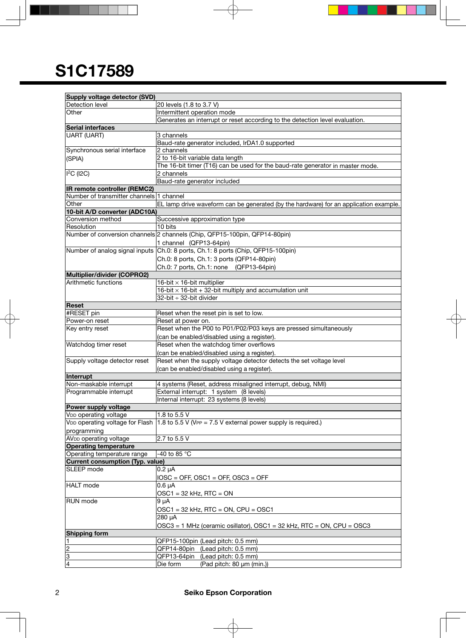**F** 

| <b>Supply voltage detector (SVD)</b>        |                                                                                                                     |                                                                                       |  |  |  |  |  |  |
|---------------------------------------------|---------------------------------------------------------------------------------------------------------------------|---------------------------------------------------------------------------------------|--|--|--|--|--|--|
| Detection level                             | 20 levels (1.8 to 3.7 V)                                                                                            |                                                                                       |  |  |  |  |  |  |
| Other                                       | Intermittent operation mode                                                                                         |                                                                                       |  |  |  |  |  |  |
|                                             | Generates an interrupt or reset according to the detection level evaluation.                                        |                                                                                       |  |  |  |  |  |  |
| Serial interfaces                           |                                                                                                                     |                                                                                       |  |  |  |  |  |  |
| UART (UART)                                 | 3 channels                                                                                                          |                                                                                       |  |  |  |  |  |  |
|                                             |                                                                                                                     | Baud-rate generator included, IrDA1.0 supported                                       |  |  |  |  |  |  |
| Synchronous serial interface                | 2 channels                                                                                                          |                                                                                       |  |  |  |  |  |  |
| (SPIA)                                      | 2 to 16-bit variable data length                                                                                    |                                                                                       |  |  |  |  |  |  |
|                                             |                                                                                                                     | The 16-bit timer (T16) can be used for the baud-rate generator in master mode.        |  |  |  |  |  |  |
| I <sup>2</sup> C (I2C)                      | 2 channels                                                                                                          |                                                                                       |  |  |  |  |  |  |
|                                             | Baud-rate generator included                                                                                        |                                                                                       |  |  |  |  |  |  |
| IR remote controller (REMC2)                |                                                                                                                     |                                                                                       |  |  |  |  |  |  |
| Number of transmitter channels 1 channel    |                                                                                                                     |                                                                                       |  |  |  |  |  |  |
| Other                                       |                                                                                                                     | EL lamp drive waveform can be generated (by the hardware) for an application example. |  |  |  |  |  |  |
| 10-bit A/D converter (ADC10A)               |                                                                                                                     |                                                                                       |  |  |  |  |  |  |
| Conversion method                           |                                                                                                                     | Successive approximation type                                                         |  |  |  |  |  |  |
| Resolution                                  | 10 bits                                                                                                             |                                                                                       |  |  |  |  |  |  |
|                                             |                                                                                                                     | Number of conversion channels 2 channels (Chip, QFP15-100pin, QFP14-80pin)            |  |  |  |  |  |  |
|                                             | 1 channel (QFP13-64pin)                                                                                             |                                                                                       |  |  |  |  |  |  |
|                                             |                                                                                                                     | Number of analog signal inputs Ch.0: 8 ports, Ch.1: 8 ports (Chip, QFP15-100pin)      |  |  |  |  |  |  |
|                                             |                                                                                                                     | Ch.0: 8 ports, Ch.1: 3 ports (QFP14-80pin)                                            |  |  |  |  |  |  |
|                                             |                                                                                                                     | Ch.0: 7 ports, Ch.1: none (QFP13-64pin)                                               |  |  |  |  |  |  |
| Multiplier/divider (COPRO2)                 |                                                                                                                     |                                                                                       |  |  |  |  |  |  |
| Arithmetic functions                        | 16-bit $\times$ 16-bit multiplier                                                                                   |                                                                                       |  |  |  |  |  |  |
|                                             |                                                                                                                     | $16$ -bit $\times$ 16-bit + 32-bit multiply and accumulation unit                     |  |  |  |  |  |  |
|                                             | 32-bit ÷ 32-bit divider                                                                                             |                                                                                       |  |  |  |  |  |  |
| Reset                                       |                                                                                                                     |                                                                                       |  |  |  |  |  |  |
| #RESET pin                                  |                                                                                                                     | Reset when the reset pin is set to low.                                               |  |  |  |  |  |  |
| Power-on reset                              | Reset at power on.                                                                                                  |                                                                                       |  |  |  |  |  |  |
| Key entry reset                             | Reset when the P00 to P01/P02/P03 keys are pressed simultaneously                                                   |                                                                                       |  |  |  |  |  |  |
|                                             | (can be enabled/disabled using a register).                                                                         |                                                                                       |  |  |  |  |  |  |
| Watchdog timer reset                        | Reset when the watchdog timer overflows                                                                             |                                                                                       |  |  |  |  |  |  |
|                                             | (can be enabled/disabled using a register).                                                                         |                                                                                       |  |  |  |  |  |  |
| Supply voltage detector reset               |                                                                                                                     |                                                                                       |  |  |  |  |  |  |
|                                             | Reset when the supply voltage detector detects the set voltage level<br>(can be enabled/disabled using a register). |                                                                                       |  |  |  |  |  |  |
|                                             |                                                                                                                     |                                                                                       |  |  |  |  |  |  |
| Interrupt                                   |                                                                                                                     |                                                                                       |  |  |  |  |  |  |
| Non-maskable interrupt                      |                                                                                                                     | 4 systems (Reset, address misaligned interrupt, debug, NMI)                           |  |  |  |  |  |  |
| Programmable interrupt                      |                                                                                                                     | External interrupt: 1 system (8 levels)                                               |  |  |  |  |  |  |
|                                             |                                                                                                                     | Internal interrupt: 23 systems (8 levels)                                             |  |  |  |  |  |  |
| Power supply voltage                        |                                                                                                                     |                                                                                       |  |  |  |  |  |  |
| V <sub>DD</sub> operating voltage           | 1.8 to 5.5 V                                                                                                        |                                                                                       |  |  |  |  |  |  |
| V <sub>DD</sub> operating voltage for Flash |                                                                                                                     | 1.8 to 5.5 V (VPP = 7.5 V external power supply is required.)                         |  |  |  |  |  |  |
| programming                                 |                                                                                                                     |                                                                                       |  |  |  |  |  |  |
| AV <sub>DD</sub> operating voltage          | 2.7 to 5.5 V                                                                                                        |                                                                                       |  |  |  |  |  |  |
| <b>Operating temperature</b>                |                                                                                                                     |                                                                                       |  |  |  |  |  |  |
| Operating temperature range                 | -40 to 85 °C                                                                                                        |                                                                                       |  |  |  |  |  |  |
| Current consumption (Typ. value)            |                                                                                                                     |                                                                                       |  |  |  |  |  |  |
| SLEEP mode                                  | $0.2 \mu A$                                                                                                         |                                                                                       |  |  |  |  |  |  |
|                                             | $IOSC = OFF$ , $OSC1 = OFF$ , $OSC3 = OFF$                                                                          |                                                                                       |  |  |  |  |  |  |
| <b>HALT</b> mode                            | $0.6 \mu A$                                                                                                         |                                                                                       |  |  |  |  |  |  |
|                                             | $OSC1 = 32$ kHz, RTC = ON                                                                                           |                                                                                       |  |  |  |  |  |  |
| <b>RUN</b> mode                             | 9 µA                                                                                                                |                                                                                       |  |  |  |  |  |  |
|                                             | $OSC1 = 32$ kHz, RTC = ON, CPU = OSC1                                                                               |                                                                                       |  |  |  |  |  |  |
|                                             | 280 µA                                                                                                              |                                                                                       |  |  |  |  |  |  |
|                                             | OSC3 = 1 MHz (ceramic osillator), OSC1 = 32 kHz, RTC = ON, CPU = OSC3                                               |                                                                                       |  |  |  |  |  |  |
| <b>Shipping form</b>                        |                                                                                                                     |                                                                                       |  |  |  |  |  |  |
| 11.                                         |                                                                                                                     | QFP15-100pin (Lead pitch: 0.5 mm)                                                     |  |  |  |  |  |  |
| $\overline{2}$                              |                                                                                                                     | QFP14-80pin (Lead pitch: 0.5 mm)                                                      |  |  |  |  |  |  |
| 3                                           |                                                                                                                     | QFP13-64pin (Lead pitch: 0.5 mm)                                                      |  |  |  |  |  |  |
| $\overline{4}$                              | Die form                                                                                                            | (Pad pitch: 80 µm (min.))                                                             |  |  |  |  |  |  |
|                                             |                                                                                                                     |                                                                                       |  |  |  |  |  |  |

L,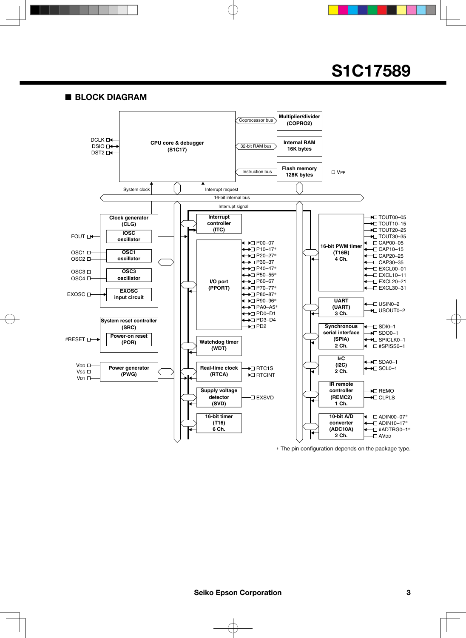■ **BLOCK DIAGRAM**



\* The pin configuration depends on the package type.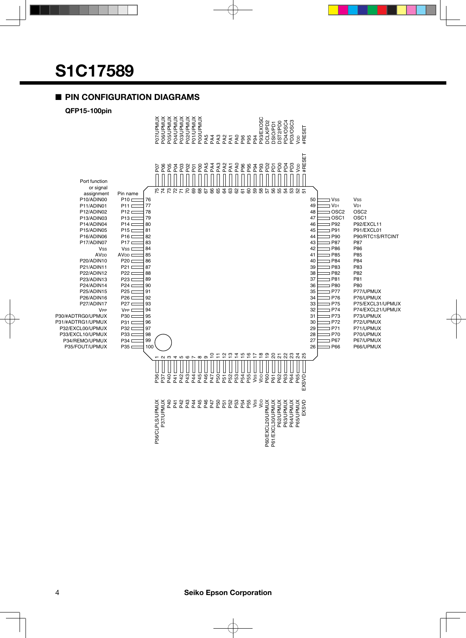#### ■ **PIN CONFIGURATION DIAGRAMS**

**QFP15-100pin**

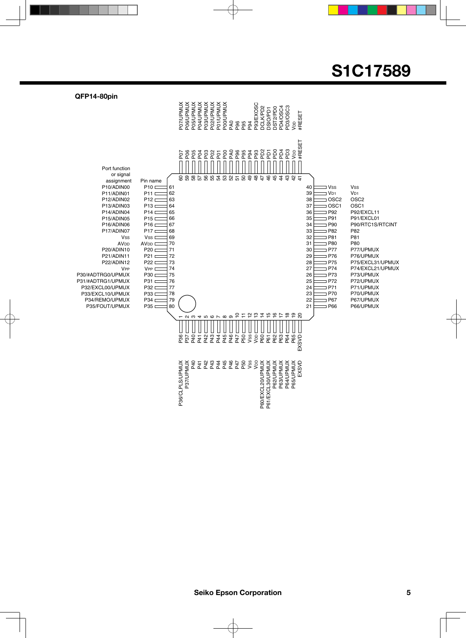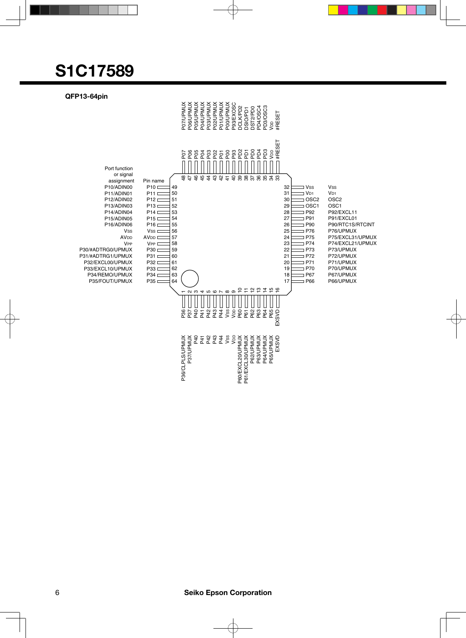

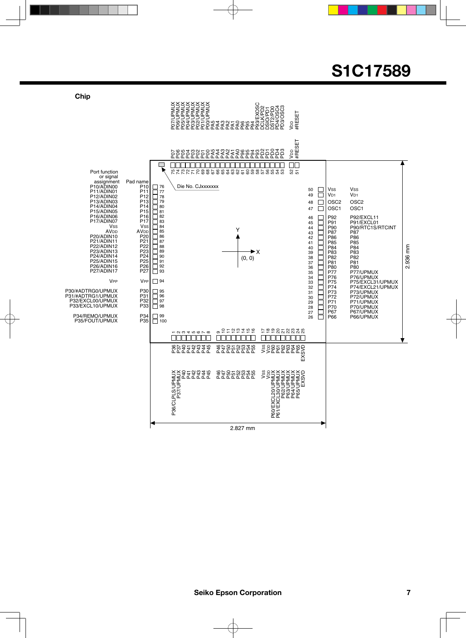#### **Chip** P07/UPMUX P06/UPMUX P05/UPMUX P04/UPMUX P03/UPMUX P02/UPMUX P01/UPMUX P00/UPMUX P93/EXOSC DCLK/PD2 PD4/OSC4 PD3/OSC3 DST2/PD0 DSIO/PD1 V<sub>DD</sub><br>#RESET PATATZO<br>PATATZO<br>PARATZO V<sub>DD</sub><br>#RESET P0838958337584<br>P08389583378375883885658  $\Box$  $\Box\Box$ Т Port function 75 74 73 72 71 70 69 68 67 66 65 64 63 62 61 60 59 58 57 56 55 54 53 ន ឆ or signal assignment P10/ADIN00 P11/ADIN01 P12/ADIN02 Pad name Die No. CJxxxxxxx P10 P11 P12 P13 P14 P15 P16 P17 76 77 78 79 80 81 82 83 84 85 86 87 88 89 90 91 92 93 50  $\Box$ Vss Vss  $|V_{D1}|$ 49  $V<sub>D1</sub>$  $\Box$ P<sub>13</sub>/ADIN03 OSC2 OSC2 48 P14/ADIN04 P15/ADIN05 OSC1 OSC1 47 P16/ADIN06 P17/ADIN07 46 P92 <u> OCTOR JEJEJ CJE JE JEJEJ CJEJ CJE JEJE</u> P92/EXCL11 P91/EXCL01 P90/RTC1S/RTCINT P87 P<sub>91</sub> 45 44 P<sub>90</sub> Vss<br>AV<sub>DD</sub><br>P20/ADIN10<br>P21/ADIN11 Vss<br>AV<sub>DD</sub> Y P87 P86 43 42 41 40 39 38 37 36 35 34 33 32 31 30 29 28 P20 P21 P86 P85 P85 P84 2.936 mm P22/ADIN12 P23/ADIN13 P22 P23 P<sub>84</sub> 2.936 mm  $\blacktriangleright$  X P83 P82 P83 P82 P24/ADIN14 P25/ADIN15 P24 P25 (0, 0) P81<br>P80 P81 P80 P77 P76 P75 P74 P73 P72 P26/ADIN16 P27/ADIN17 P26 P27 P80<br>P77/UPMUX<br>P76/UPMUX<br>P75/EXCL31/UPMUX<br>P74/EXCL21/UPMUX<br>P73/UPMUX<br>P71/UPMUX<br>P70/UPMUX **V<sub>PP</sub>**  $V_{\text{PP}}$ 94 P30/#ADTRG0/UPMUX P30 95 96 97 98 P<sub>31</sub> P31/#ADTRG1/UPMUX P32/EXCL00/UPMUX P33/EXCL10/UPMUX P32 P33 P71 P70 P67 27 P67/UPMUX P66/UPMUX P34/REMO/UPMUX P34 99 100  $\overline{26}$ P66 P35/FOUT/UPMUX P35 5 = 5 = 5 = 6 ៦ ខ ខ ន ន ន ន ន ន  $\scriptstyle\sim$ ო 4ما 6~  $^{\circ}$ თ  $\mathbf$ r<br>P244<br>P244 P46 P47 P50 P51 P52 P53 P54 P55 9828888<br>SSRRRR<br>SSRR88889<br>M P36/CLPLS/UPMUX P37/UPMUX FFT<br>P44444<br>O440 PT P P P P P P P<br>4 4 P P P P P P P<br>9 P O T N M 4 P QVSX<br>VSSS<br>SASSIS<br>SASSIS<br>SASSIS<br>SASSIS<br>SASSIS<br>SASSIS P60/EXCL20/UPMUX P61/EXCL30/UPMUX P62/UPMUX P63/UPMUX P64/UPMUX P65/UPMUX

2.827 mm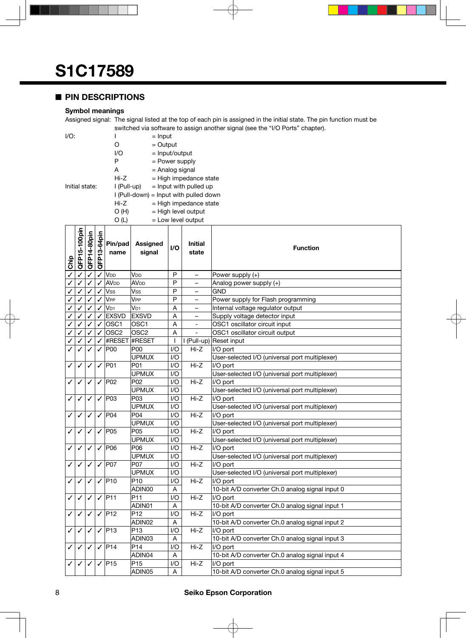#### ■ **PIN DESCRIPTIONS**

#### **Symbol meanings**

Assigned signal: The signal listed at the top of each pin is assigned in the initial state. The pin function must be switched via software to assign another signal (see the "I/O Ports" chapter).

| I/O:           |             | $=$ Input                                |
|----------------|-------------|------------------------------------------|
|                | Ω           | $=$ Output                               |
|                | I/O         | $=$ Input/output                         |
|                | P           | $=$ Power supply                         |
|                | A           | = Analog signal                          |
|                | Hi-Z        | $=$ High impedance state                 |
| Initial state: | l (Pull-up) | $=$ Input with pulled up                 |
|                |             | $I$ (Pull-down) = Input with pulled down |
|                | Hi-Z        | $=$ High impedance state                 |
|                | O(H)        | $=$ High level output                    |
|                | O (L)       | $=$ Low level output                     |

| Chip | QFP15-100pin | QFP14-80pin  | QFP13-64pin  | Pin/pad<br>name                                   | <b>Assigned</b><br>signal | I/O          | <b>Initial</b><br>state  | <b>Function</b>                                 |  |
|------|--------------|--------------|--------------|---------------------------------------------------|---------------------------|--------------|--------------------------|-------------------------------------------------|--|
| ✓    | ✓            | ✓            | ✓            | V <sub>DD</sub>                                   | V <sub>DD</sub>           | P            | $\qquad \qquad -$        | Power supply (+)                                |  |
| ✓    | ✓            | ✓            | ✓            | AV <sub>DD</sub>                                  | <b>AV<sub>DD</sub></b>    | P            | $\equiv$                 | Analog power supply (+)                         |  |
|      |              |              |              | Vss                                               | Vss                       | P            | $\equiv$                 | <b>GND</b>                                      |  |
| ✓    | ✓            | ✓            | ✓            | V <sub>PP</sub>                                   | V <sub>PP</sub>           | P            | $\overline{\phantom{a}}$ | Power supply for Flash programming              |  |
| ✓    | ✓            | ✓            | ✓            | V <sub>D1</sub>                                   | $V_{D1}$                  | A            | -                        | Internal voltage regulator output               |  |
| ✓    | ✓            | ✓            |              | <b>EXSVD</b>                                      | <b>EXSVD</b>              | A            | $\overline{\phantom{0}}$ | Supply voltage detector input                   |  |
| ✓    | ✓            |              | ✓            | OSC1                                              | OSC <sub>1</sub>          | A            |                          | OSC1 oscillator circuit input                   |  |
| ✓    | ✓            | $\checkmark$ | ✓            | OSC <sub>2</sub>                                  | OSC <sub>2</sub>          | A            | $\overline{a}$           | OSC1 oscillator circuit output                  |  |
| ✓    | ✓            | ✓            | ✓            | #RESET                                            | #RESET                    | $\mathbf{I}$ | I (Pull-up)              | Reset input                                     |  |
| J    | ✓            | ✓            | ✓            | P00                                               | P <sub>00</sub>           | 1/O          | Hi-Z                     | I/O port                                        |  |
|      |              |              |              |                                                   | <b>UPMUX</b>              | I/O          |                          | User-selected I/O (universal port multiplexer)  |  |
| ✓    | ✓            | ✓            |              | $\sqrt{ P01}$                                     | P01                       | I/O          | $Hi-Z$                   | I/O port                                        |  |
|      |              |              |              |                                                   | <b>UPMUX</b>              | I/O          |                          | User-selected I/O (universal port multiplexer)  |  |
| ✓    | ✓            | ✓            | ✓            | P <sub>02</sub>                                   | P02                       | I/O          | $Hi-Z$                   | I/O port                                        |  |
|      |              |              |              |                                                   | <b>UPMUX</b>              | I/O          |                          | User-selected I/O (universal port multiplexer)  |  |
| ✓    | ✓            | ✓            |              | $\sqrt{ P}03$                                     | P03                       | I/O          | $Hi-Z$                   | I/O port                                        |  |
|      |              |              |              |                                                   | <b>UPMUX</b>              | I/O          |                          | User-selected I/O (universal port multiplexer)  |  |
| ✓    | ✓            | ✓            | ✓            | P04                                               | P04                       | I/O          | $Hi-Z$                   | I/O port                                        |  |
|      |              |              |              |                                                   | <b>UPMUX</b>              | I/O          |                          | User-selected I/O (universal port multiplexer)  |  |
| ✓    | ✓            | ✓            |              | $\sqrt{ P05 }$                                    | P05                       | I/O          | $Hi-Z$                   | I/O port                                        |  |
|      |              |              |              |                                                   | <b>UPMUX</b>              | I/O          |                          | User-selected I/O (universal port multiplexer)  |  |
| ✓    | ✓            | ✓            | $\checkmark$ | P06                                               | P06                       | I/O          | $Hi-Z$                   | I/O port                                        |  |
|      |              |              |              |                                                   | <b>UPMUX</b>              | I/O          |                          | User-selected I/O (universal port multiplexer)  |  |
| ✓    | ✓            | ✓            | ✓            | <b>P07</b>                                        | P07                       | I/O          | $Hi-Z$                   | I/O port                                        |  |
|      |              |              |              |                                                   | <b>UPMUX</b>              | I/O          |                          | User-selected I/O (universal port multiplexer)  |  |
| ✓    | ✓            | ✓            | ✓            | P <sub>10</sub>                                   | P <sub>10</sub>           | I/O          | $Hi-Z$                   | I/O port                                        |  |
|      |              |              |              |                                                   | ADIN00                    | Α            |                          | 10-bit A/D converter Ch.0 analog signal input 0 |  |
| ✓    | ✓            | ✓            | ✓            | P11                                               | P <sub>11</sub>           | I/O          | Hi-Z                     | I/O port                                        |  |
|      |              |              |              |                                                   | ADIN01                    | Α            |                          | 10-bit A/D converter Ch.0 analog signal input 1 |  |
| ✓    | ✓            | ✓            | ✓            | P <sub>12</sub>                                   | P <sub>12</sub>           | I/O          | $Hi-Z$                   | I/O port                                        |  |
|      |              |              |              |                                                   | ADIN02                    | A            |                          | 10-bit A/D converter Ch.0 analog signal input 2 |  |
| ✓    | ✓            | ✓            | ✓            | P <sub>13</sub>                                   | P <sub>13</sub>           | I/O          | $Hi-Z$                   | I/O port                                        |  |
|      |              |              |              |                                                   | ADIN03                    | Α            |                          | 10-bit A/D converter Ch.0 analog signal input 3 |  |
| ✓    | ✓            | ✓            |              | $\sqrt{ P14}$                                     | P <sub>14</sub>           | I/O          | $Hi-Z$                   | I/O port                                        |  |
|      |              |              |              |                                                   | ADIN04                    | A            |                          | 10-bit A/D converter Ch.0 analog signal input 4 |  |
|      | ✓            | ✓            |              | P15<br>P <sub>15</sub><br>Hi-Z<br>I/O<br>I/O port |                           |              |                          |                                                 |  |
|      |              |              |              |                                                   | ADIN05                    | A            |                          | 10-bit A/D converter Ch.0 analog signal input 5 |  |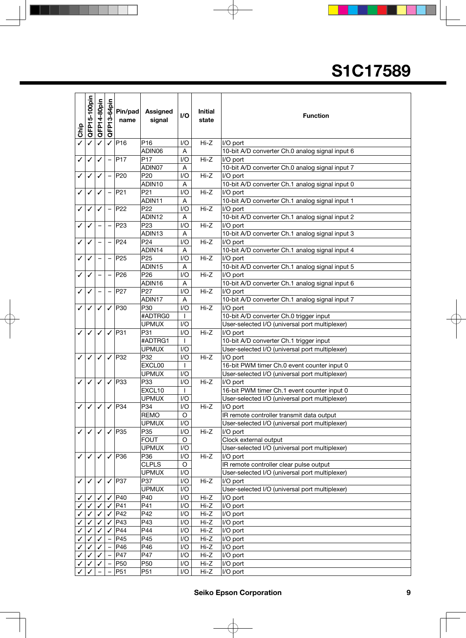| Chip         | QFP15-100pin | QFP14-80pin |   | $\frac{1}{6}$<br>Pin/pad<br>mame | <b>Assigned</b><br>signal | $\mathsf{I}/\mathsf{O}$ | <b>Initial</b><br>state | <b>Function</b>                                             |  |
|--------------|--------------|-------------|---|----------------------------------|---------------------------|-------------------------|-------------------------|-------------------------------------------------------------|--|
| $\checkmark$ | ✓            | ✓           | ✓ | PI6                              | P <sub>16</sub>           | I/O                     | $Hi-Z$                  | I/O port                                                    |  |
|              |              |             |   |                                  | ADIN06                    | A                       |                         | 10-bit A/D converter Ch.0 analog signal input 6             |  |
| ✓            | ✓            | ✓           |   | PI7                              | P <sub>17</sub>           | I/O                     | $Hi-Z$                  | I/O port                                                    |  |
|              |              |             |   |                                  | ADIN07                    | Α                       |                         | 10-bit A/D converter Ch.0 analog signal input 7             |  |
| ✓            | ✓            | ✓           |   | P <sub>20</sub>                  | P <sub>20</sub>           | I/O                     | $Hi-Z$                  | I/O port                                                    |  |
|              |              |             |   |                                  | ADIN10                    | A                       |                         | 10-bit A/D converter Ch.1 analog signal input 0             |  |
| ✓            | ✓            | ✓           |   | P <sub>21</sub>                  | P <sub>21</sub>           | I/O                     | $Hi-Z$                  | I/O port                                                    |  |
|              |              |             |   |                                  | ADIN11                    | A                       |                         | 10-bit A/D converter Ch.1 analog signal input 1             |  |
| ✓            | ✓            | ✓           |   | P22                              | P <sub>22</sub>           | I/O                     | $Hi-Z$                  | I/O port                                                    |  |
|              |              |             |   |                                  | ADIN12                    | A                       |                         | 10-bit A/D converter Ch.1 analog signal input 2             |  |
| ✓            |              |             |   | P <sub>23</sub>                  | P <sub>23</sub>           | I/O                     | $Hi-Z$                  | I/O port                                                    |  |
|              |              |             |   |                                  | ADIN <sub>13</sub>        | A                       |                         | 10-bit A/D converter Ch.1 analog signal input 3             |  |
| ✓            | ✓            |             |   | P24                              | P <sub>24</sub>           | I/O                     | $Hi-Z$                  | I/O port                                                    |  |
|              |              |             |   |                                  | ADIN14                    | A                       |                         | 10-bit A/D converter Ch.1 analog signal input 4             |  |
| ✓            | ✓            |             |   | P <sub>25</sub>                  | P <sub>25</sub>           | I/O                     | $Hi-Z$                  | I/O port                                                    |  |
|              |              |             |   |                                  | ADIN15                    | A                       |                         | 10-bit A/D converter Ch.1 analog signal input 5             |  |
| ✓            | ✓            |             |   | P <sub>26</sub>                  | P <sub>26</sub><br>ADIN16 | I/O                     | $Hi-Z$                  | I/O port                                                    |  |
| ✓            |              |             |   | P27                              | P <sub>27</sub>           | Α<br>I/O                | $Hi-Z$                  | 10-bit A/D converter Ch.1 analog signal input 6<br>I/O port |  |
|              | ✓            |             |   |                                  | ADIN17                    | Α                       |                         | 10-bit A/D converter Ch.1 analog signal input 7             |  |
| ✓            | ✓            | ✓           | ✓ | P <sub>30</sub>                  | P30                       | I/O                     | $Hi-Z$                  | I/O port                                                    |  |
|              |              |             |   |                                  | #ADTRG0                   | $\mathbf{I}$            |                         | 10-bit A/D converter Ch.0 trigger input                     |  |
|              |              |             |   |                                  | <b>UPMUX</b>              | I/O                     |                         | User-selected I/O (universal port multiplexer)              |  |
| ✓            | ✓            | ✓           | ✓ | P31                              | P31                       | I/O                     | $Hi-Z$                  | I/O port                                                    |  |
|              |              |             |   |                                  | #ADTRG1                   | T                       |                         | 10-bit A/D converter Ch.1 trigger input                     |  |
|              |              |             |   |                                  | <b>UPMUX</b>              | I/O                     |                         | User-selected I/O (universal port multiplexer)              |  |
| ✓            | ✓            | ✓           | ✓ | P32                              | P32                       | I/O                     | $Hi-Z$<br>I/O port      |                                                             |  |
|              |              |             |   |                                  | EXCL00                    | T                       |                         | 16-bit PWM timer Ch.0 event counter input 0                 |  |
|              |              |             |   |                                  | <b>UPMUX</b>              | I/O                     |                         | User-selected I/O (universal port multiplexer)              |  |
| ✓            | ✓            | ✓           | ✓ | P33                              | P33                       | I/O                     | $Hi-Z$                  | I/O port                                                    |  |
|              |              |             |   |                                  | EXCL10                    |                         |                         | 16-bit PWM timer Ch.1 event counter input 0                 |  |
|              |              |             |   |                                  | <b>UPMUX</b>              | I/O                     |                         | User-selected I/O (universal port multiplexer)              |  |
| $\checkmark$ | ✓            | ✓           |   | $\sqrt{ }$ P34                   | P34                       | $\overline{1/O}$        | $Hi-Z$                  | I/O port                                                    |  |
|              |              |             |   |                                  | <b>REMO</b>               | O                       |                         | IR remote controller transmit data output                   |  |
|              |              |             |   |                                  | <b>UPMUX</b>              | I/O                     |                         | User-selected I/O (universal port multiplexer)              |  |
| ✓            | ✓            | ✓           | ✓ | P35                              | P35                       | I/O                     | $Hi-Z$                  | I/O port                                                    |  |
|              |              |             |   |                                  | <b>FOUT</b>               | O                       |                         | Clock external output                                       |  |
|              |              |             |   |                                  | <b>UPMUX</b>              | I/O                     |                         | User-selected I/O (universal port multiplexer)              |  |
| ✓            | ✓            | ✓           | ✓ | P36                              | P36                       | I/O                     | $Hi-Z$                  | I/O port                                                    |  |
|              |              |             |   |                                  | <b>CLPLS</b>              | $\circ$                 |                         | IR remote controller clear pulse output                     |  |
|              |              |             |   |                                  | <b>UPMUX</b>              | I/O                     |                         | User-selected I/O (universal port multiplexer)              |  |
| ✓            | ✓            | ✓           | ✓ | P37                              | P37                       | I/O                     | $Hi-Z$                  | I/O port                                                    |  |
|              |              |             |   |                                  | <b>UPMUX</b>              | I/O                     |                         | User-selected I/O (universal port multiplexer)              |  |
| ✓            |              | ✓           | ✓ | P40                              | P40                       | I/O                     | $Hi-Z$                  | I/O port                                                    |  |
| ✓            |              |             |   | P41                              | P41                       | I/O                     | $Hi-Z$                  | I/O port                                                    |  |
|              |              |             |   | P42                              | P42                       | I/O                     | Hi-Z                    | I/O port                                                    |  |
|              |              |             |   | P43                              | P43                       | I/O                     | Hi-Z                    | I/O port                                                    |  |
| $\checkmark$ |              |             |   | P44                              | P44                       | I/O                     | $Hi-Z$                  | I/O port                                                    |  |
| $\checkmark$ |              |             |   | P45                              | P45                       | I/O                     | Hi-Z                    | I/O port                                                    |  |
| ✓            |              |             |   | P46<br>P47                       | P46<br>P47                | I/O<br>I/O              | Hi-Z<br>Hi-Z            | I/O port                                                    |  |
| ✓<br>✓       |              |             |   | P <sub>50</sub>                  | P50                       | I/O                     | Hi-Z                    | I/O port<br>I/O port                                        |  |
|              |              |             |   | P <sub>51</sub>                  | P <sub>51</sub>           | I/O                     | Hi-Z                    | I/O port                                                    |  |
|              |              |             |   |                                  |                           |                         |                         |                                                             |  |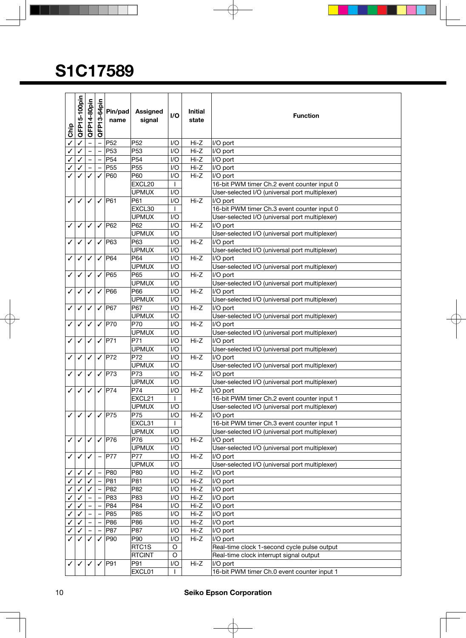| <b>Chip</b> | QFP15-100pin | QFP14-80pin | -64pin<br>QFP <sub>13</sub> | Pin/pad<br>name | <b>Assigned</b><br>signal | I/O                     | <b>Initial</b><br>state | <b>Function</b>                                |  |
|-------------|--------------|-------------|-----------------------------|-----------------|---------------------------|-------------------------|-------------------------|------------------------------------------------|--|
|             | $\checkmark$ |             |                             | P52             | P <sub>52</sub>           | I/O                     | Hi-Z                    | I/O port                                       |  |
|             | $\checkmark$ |             |                             | P <sub>53</sub> | P <sub>53</sub>           | 1/O                     | $Hi-Z$                  | I/O port                                       |  |
|             | $\checkmark$ |             |                             | P <sub>54</sub> | P <sub>54</sub>           | $U$                     | Hi-Z                    | I/O port                                       |  |
|             | ✓            |             |                             | P <sub>55</sub> | P <sub>55</sub>           | $U$                     | Hi-Z                    | I/O port                                       |  |
|             | $\checkmark$ | ✓           | ✓                           | P60             | P60                       | 1/O                     | Hi-Z                    | I/O port                                       |  |
|             |              |             |                             |                 | EXCL20                    | $\mathbf{I}$            |                         | 16-bit PWM timer Ch.2 event counter input 0    |  |
|             |              |             |                             |                 | <b>UPMUX</b>              | I/O                     |                         | User-selected I/O (universal port multiplexer) |  |
| ✓           | $\checkmark$ | ✓           | $\checkmark$                | <b>P61</b>      | P61                       | I/O                     | Hi-Z                    | I/O port                                       |  |
|             |              |             |                             |                 | EXCL30                    | $\perp$                 |                         | 16-bit PWM timer Ch.3 event counter input 0    |  |
|             |              |             |                             |                 | <b>UPMUX</b>              | I/O                     |                         | User-selected I/O (universal port multiplexer) |  |
| ✓           | $\checkmark$ | ✓           | ✓                           | <b>P62</b>      | P62                       | 1/O                     | Hi-Z                    | I/O port                                       |  |
|             |              |             |                             |                 | <b>UPMUX</b>              | I/O                     |                         | User-selected I/O (universal port multiplexer) |  |
| ✓           | ✓            | ✓           | ✓                           | P63             | P63                       | 1/O                     | Hi-Z                    | I/O port                                       |  |
|             |              |             |                             |                 | <b>UPMUX</b>              | I/O                     |                         | User-selected I/O (universal port multiplexer) |  |
| ✓           | ✓            | ✓           | ✓                           | P64             | P64                       | I/O                     | $Hi-Z$                  | I/O port                                       |  |
|             |              |             |                             |                 | <b>UPMUX</b>              | 1/O                     |                         | User-selected I/O (universal port multiplexer) |  |
| ✓           | ✓            | ✓           | ✓                           | <b>P65</b>      | P65                       | I/O                     | Hi-Z                    | I/O port                                       |  |
|             |              |             |                             |                 | <b>UPMUX</b>              | I/O                     |                         | User-selected I/O (universal port multiplexer) |  |
| ✓           | ✓            | ✓           | ✓                           | <b>P66</b>      | P66                       | I/O                     | $Hi-Z$                  | I/O port                                       |  |
|             |              |             |                             |                 | <b>UPMUX</b>              | I/O                     |                         | User-selected I/O (universal port multiplexer) |  |
| ✓           | ✓            | ✓           | ✓                           | P67             | P67                       | I/O                     | Hi-Z                    | I/O port                                       |  |
|             |              |             |                             |                 | <b>UPMUX</b>              | 1/O                     |                         | User-selected I/O (universal port multiplexer) |  |
| ✓           | ✓            | ✓           | $\checkmark$                | P70             | P70                       | I/O                     | $Hi-Z$                  | I/O port                                       |  |
|             |              |             |                             |                 | <b>UPMUX</b>              | 1/O                     |                         | User-selected I/O (universal port multiplexer) |  |
| ✓           | ✓            | ✓           | $\checkmark$                | P71             | P71                       | I/O                     | $Hi-Z$                  | I/O port                                       |  |
|             |              |             |                             |                 | <b>UPMUX</b>              | I/O                     |                         | User-selected I/O (universal port multiplexer) |  |
| ✓           | ✓            | ✓           | $\checkmark$                | P72             | P72                       | I/O                     | $Hi-Z$                  | I/O port                                       |  |
|             |              |             |                             |                 | <b>UPMUX</b>              | I/O                     |                         | User-selected I/O (universal port multiplexer) |  |
| ✓           | $\checkmark$ | ✓           |                             | $\sqrt{ P73}$   | P73                       | I/O                     | Hi-Z                    | I/O port                                       |  |
|             |              |             |                             |                 | <b>UPMUX</b>              | 1/O                     |                         | User-selected I/O (universal port multiplexer) |  |
| ✓           | ✓            | ✓           | $\checkmark$                | P74             | P74                       | I/O                     | Hi-Z                    | I/O port                                       |  |
|             |              |             |                             |                 | EXCL <sub>21</sub>        | $\mathbf{I}$            |                         | 16-bit PWM timer Ch.2 event counter input 1    |  |
|             |              |             |                             |                 | <b>UPMUX</b>              | $\mathsf{I}/\mathsf{O}$ |                         | User-selected I/O (universal port multiplexer) |  |
| ✓           | ✓            | ✓           | ✓                           | P75             | P75                       | I/O                     | $Hi-Z$                  | I/O port                                       |  |
|             |              |             |                             |                 | EXCL31                    | $\mathbf{I}$            |                         | 16-bit PWM timer Ch.3 event counter input 1    |  |
|             |              |             |                             |                 | <b>UPMUX</b>              | I/O                     |                         | User-selected I/O (universal port multiplexer) |  |
| ✓           | $\checkmark$ | ✓           | $\checkmark$                | P76             | P76                       | I/O                     | $Hi-Z$                  | I/O port                                       |  |
|             |              |             |                             |                 | <b>UPMUX</b>              | I/O                     |                         | User-selected I/O (universal port multiplexer) |  |
| ✓           | $\checkmark$ | ✓           |                             | P77             | P77                       | I/O                     | $Hi-Z$                  | I/O port                                       |  |
|             |              |             |                             |                 | <b>UPMUX</b>              | I/O                     |                         | User-selected I/O (universal port multiplexer) |  |
| ✓           |              |             |                             | P80             | P80                       | I/O                     | $Hi-Z$                  | I/O port                                       |  |
|             | ✓            |             |                             | P81             | P81                       | I/O                     | Hi-Z                    | I/O port                                       |  |
|             | ✓            |             |                             | P82             | P82                       | I/O                     | Hi-Z                    | I/O port                                       |  |
|             | ✓            |             |                             | P83             | P83                       | I/O                     | Hi-Z                    | I/O port                                       |  |
|             | ✓            |             |                             | P84             | P84                       | I/O                     | Hi-Z                    | I/O port                                       |  |
|             | ✓            |             |                             | P85             | P85                       | I/O                     | Hi-Z                    | I/O port                                       |  |
| ✓           | ✓            |             |                             | P86             | P86                       | I/O                     | Hi-Z                    | I/O port                                       |  |
|             | ✓            |             |                             | P87             | P87                       | I/O                     | Hi-Z                    | I/O port                                       |  |
| ✓           | ✓            | ✓           | ✓                           | P90             | P90                       | I/O                     | Hi-Z                    | I/O port                                       |  |
|             |              |             |                             |                 | RTC1S                     | O                       |                         | Real-time clock 1-second cycle pulse output    |  |
|             |              |             |                             |                 | <b>RTCINT</b>             | O                       |                         | Real-time clock interrupt signal output        |  |
| ✓           | $\checkmark$ | ✓           | ✓                           | P91             | P91                       | I/O                     | Hi-Z                    | I/O port                                       |  |
|             |              |             |                             |                 | EXCL01                    |                         |                         | 16-bit PWM timer Ch.0 event counter input 1    |  |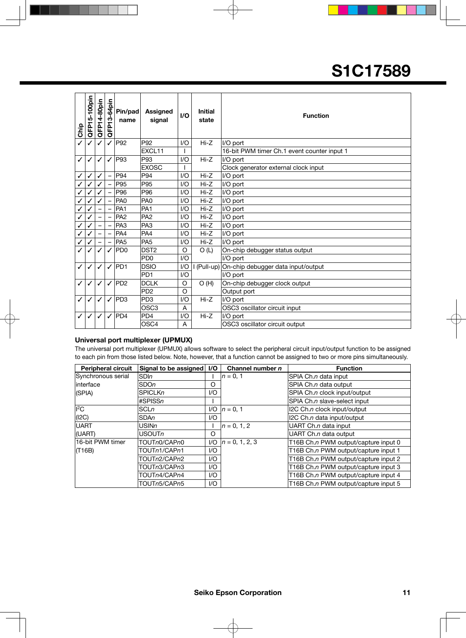| Chip         | QFP15-100pin | QFP14-80pin | QFP13-64pin  | Pin/pad<br>name | <b>Assigned</b><br>signal   | $UO$     | <b>Initial</b><br>state | <b>Function</b>                             |  |
|--------------|--------------|-------------|--------------|-----------------|-----------------------------|----------|-------------------------|---------------------------------------------|--|
|              |              | ✓           | ✓            | P92             | P92                         | 1/O      | $Hi-Z$                  | I/O port                                    |  |
|              |              |             |              |                 | EXCL11                      |          |                         | 16-bit PWM timer Ch.1 event counter input 1 |  |
| ✓            | ℐ            | ✓           |              | P93             | P93                         | I/O      | $Hi-Z$                  | I/O port                                    |  |
|              |              |             |              |                 | <b>EXOSC</b>                |          |                         | Clock generator external clock input        |  |
| ✓            | ✓            | ✓           |              | P94             | P94                         | I/O      | $Hi-Z$                  | I/O port                                    |  |
|              |              | ✓           |              | P95             | P95                         | I/O      | $Hi-Z$                  | I/O port                                    |  |
| $\checkmark$ |              |             |              | P96             | P96                         | I/O      | Hi-Z                    | I/O port                                    |  |
|              |              |             |              | PA <sub>0</sub> | PA <sub>0</sub>             | 1/O      | $Hi-Z$                  | I/O port                                    |  |
|              |              |             |              | PA <sub>1</sub> | PA <sub>1</sub>             | I/O      | $Hi-Z$                  | I/O port                                    |  |
| $\checkmark$ |              |             |              | PA <sub>2</sub> | PA <sub>2</sub>             | I/O      | Hi-Z                    | I/O port                                    |  |
|              |              |             |              | PA <sub>3</sub> | PA <sub>3</sub>             | 1/O      | $Hi-Z$                  | I/O port                                    |  |
| $\checkmark$ |              |             |              | PA4             | PA4                         | I/O      | $Hi-Z$                  | I/O port                                    |  |
|              |              |             |              | PA <sub>5</sub> | PA <sub>5</sub>             | 1/O      | $Hi-Z$                  | I/O port                                    |  |
| $\checkmark$ |              | ✓           | ✓            | <b>PD0</b>      | DST <sub>2</sub>            | $\circ$  | O(L)                    | On-chip debugger status output              |  |
|              |              |             |              |                 | PD <sub>0</sub>             | I/O      |                         | I/O port                                    |  |
| ✓            | J            | ✓           |              | <b>PD1</b>      | <b>DSIO</b>                 | I/O      | (Pull-up)               | On-chip debugger data input/output          |  |
|              |              |             |              |                 | PD <sub>1</sub>             | 1/O      |                         | I/O port                                    |  |
| ✓            | ✓            | ✓           | ✓            | P <sub>D2</sub> | <b>DCLK</b>                 | O        | O(H)                    | On-chip debugger clock output               |  |
|              |              |             |              |                 | P <sub>D</sub> <sub>2</sub> | $\Omega$ | Output port             |                                             |  |
| ✓            | ✓            | ✓           | $\checkmark$ | PD <sub>3</sub> | PD <sub>3</sub>             | I/O      | $Hi-Z$<br>I/O port      |                                             |  |
|              |              |             |              |                 | OSC <sub>3</sub>            | A        |                         | OSC3 oscillator circuit input               |  |
|              |              |             |              | PD4             | PD <sub>4</sub>             | I/O      | $Hi-Z$                  | I/O port                                    |  |
|              |              |             |              |                 | OSC <sub>4</sub>            | A        |                         | OSC3 oscillator circuit output              |  |

#### **Universal port multiplexer (UPMUX)**

The universal port multiplexer (UPMUX) allows software to select the peripheral circuit input/output function to be assigned to each pin from those listed below. Note, however, that a function cannot be assigned to two or more pins simultaneously.

| <b>Peripheral circuit</b> | Signal to be assigned | I/O | Channel number $n$ | <b>Function</b>                      |
|---------------------------|-----------------------|-----|--------------------|--------------------------------------|
| Synchronous serial        | <b>SDIn</b>           |     | $n = 0, 1$         | SPIA Ch.n data input                 |
| linterface                | <b>SDOn</b>           | O   |                    | SPIA Ch.n data output                |
| (SPIA)                    | <b>SPICLKn</b>        | I/O |                    | SPIA Ch.n clock input/output         |
|                           | #SPISSn               |     |                    | SPIA Ch.n slave-select input         |
| ll <sup>2</sup> C         | <b>SCLn</b>           | I/O | $n = 0.1$          | I2C Ch.n clock input/output          |
| (12C)                     | <b>SDAn</b>           | I/O |                    | I2C Ch.n data input/output           |
| <b>UART</b>               | USINn                 |     | $n = 0, 1, 2$      | UART Ch.n data input                 |
| (UART)                    | USOUTn                | O   |                    | UART Ch.n data output                |
| 16-bit PWM timer          | TOUTn0/CAPn0          | 1/O | $n = 0, 1, 2, 3$   | T16B Ch.n PWM output/capture input 0 |
| (T16B)                    | TOUTn1/CAPn1          | I/O |                    | T16B Ch.n PWM output/capture input 1 |
|                           | TOUTn2/CAPn2          | I/O |                    | T16B Ch.n PWM output/capture input 2 |
|                           | TOUTn3/CAPn3          | I/O |                    | T16B Ch.n PWM output/capture input 3 |
|                           | TOUTn4/CAPn4          | 1/O |                    | T16B Ch.n PWM output/capture input 4 |
|                           | TOUTn5/CAPn5          | I/O |                    | T16B Ch.n PWM output/capture input 5 |